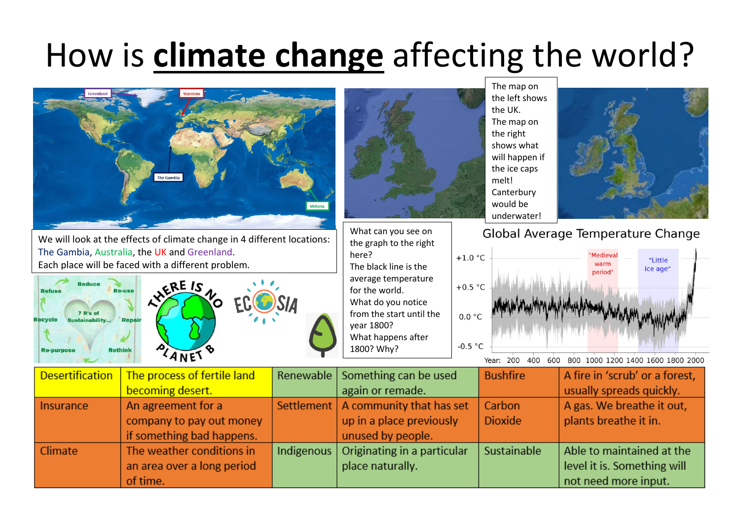## How is **climate change** affecting the world?



Originating in a particular

place naturally.

Sustainable

Able to maintained at the

level it is. Something will

not need more input.

Indigenous

Climate

The weather conditions in

an area over a long period

of time.